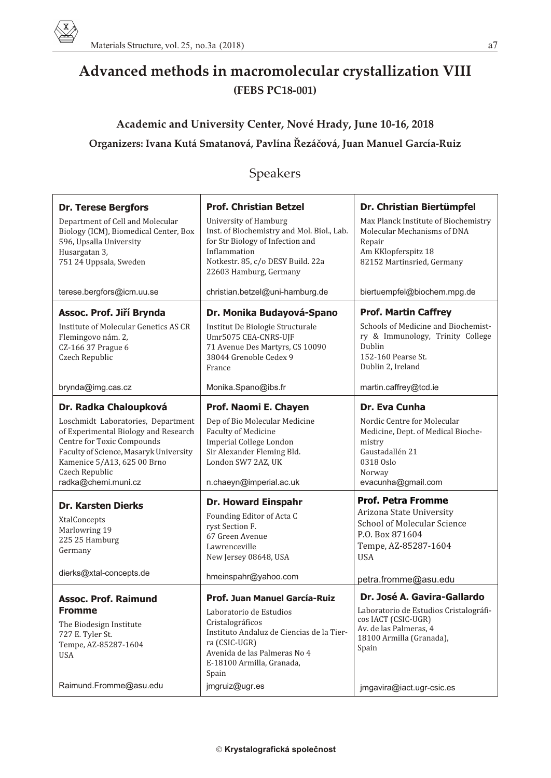## **Advanced methods in macromolecular crystallization VIII (FEBS PC18-001)**

## **Academic and University Center, Nové Hrady, June 10-16, 2018 Or ga niz ers: Ivana Kutá Smatanová, Pavlína Øezáèová, Juan Manuel García-Ruiz**

## Speakers

| <b>Dr. Terese Bergfors</b><br>Department of Cell and Molecular<br>Biology (ICM), Biomedical Center, Box<br>596, Upsalla University<br>Husargatan 3,<br>751 24 Uppsala, Sweden                                                                       | <b>Prof. Christian Betzel</b><br>University of Hamburg<br>Inst. of Biochemistry and Mol. Biol., Lab.<br>for Str Biology of Infection and<br>Inflammation<br>Notkestr. 85, c/o DESY Build. 22a<br>22603 Hamburg, Germany | Dr. Christian Biertümpfel<br>Max Planck Institute of Biochemistry<br>Molecular Mechanisms of DNA<br>Repair<br>Am KKlopferspitz 18<br>82152 Martinsried, Germany       |
|-----------------------------------------------------------------------------------------------------------------------------------------------------------------------------------------------------------------------------------------------------|-------------------------------------------------------------------------------------------------------------------------------------------------------------------------------------------------------------------------|-----------------------------------------------------------------------------------------------------------------------------------------------------------------------|
| terese.bergfors@icm.uu.se                                                                                                                                                                                                                           | christian.betzel@uni-hamburg.de                                                                                                                                                                                         | biertuempfel@biochem.mpg.de                                                                                                                                           |
| Assoc. Prof. Jiří Brynda<br>Institute of Molecular Genetics AS CR<br>Flemingovo nám. 2,<br>CZ-166 37 Prague 6<br>Czech Republic                                                                                                                     | Dr. Monika Budayová-Spano<br>Institut De Biologie Structurale<br>Umr5075 CEA-CNRS-UJF<br>71 Avenue Des Martyrs, CS 10090<br>38044 Grenoble Cedex 9<br>France                                                            | <b>Prof. Martin Caffrey</b><br>Schools of Medicine and Biochemist-<br>ry & Immunology, Trinity College<br>Dublin<br>152-160 Pearse St.<br>Dublin 2, Ireland           |
| brynda@img.cas.cz                                                                                                                                                                                                                                   | Monika.Spano@ibs.fr                                                                                                                                                                                                     | martin.caffrey@tcd.ie                                                                                                                                                 |
| Dr. Radka Chaloupková<br>Loschmidt Laboratories, Department<br>of Experimental Biology and Research<br>Centre for Toxic Compounds<br>Faculty of Science, Masaryk University<br>Kamenice 5/A13, 625 00 Brno<br>Czech Republic<br>radka@chemi.muni.cz | Prof. Naomi E. Chayen<br>Dep of Bio Molecular Medicine<br><b>Faculty of Medicine</b><br>Imperial College London<br>Sir Alexander Fleming Bld.<br>London SW7 2AZ, UK<br>n.chaeyn@imperial.ac.uk                          | Dr. Eva Cunha<br>Nordic Centre for Molecular<br>Medicine, Dept. of Medical Bioche-<br>mistry<br>Gaustadallén 21<br>0318 Oslo<br>Norway<br>evacunha@gmail.com          |
| <b>Dr. Karsten Dierks</b><br>XtalConcepts<br>Marlowring 19<br>225 25 Hamburg<br>Germany<br>dierks@xtal-concepts.de                                                                                                                                  | <b>Dr. Howard Einspahr</b><br>Founding Editor of Acta C<br>ryst Section F.<br>67 Green Avenue<br>Lawrenceville<br>New Jersey 08648, USA<br>hmeinspahr@yahoo.com                                                         | <b>Prof. Petra Fromme</b><br>Arizona State University<br>School of Molecular Science<br>P.O. Box 871604<br>Tempe, AZ-85287-1604<br><b>USA</b><br>petra.fromme@asu.edu |
| <b>Assoc. Prof. Raimund</b><br>Fromme<br>The Biodesign Institute<br>727 E. Tyler St.<br>Tempe, AZ-85287-1604<br><b>USA</b>                                                                                                                          | <b>Prof. Juan Manuel García-Ruiz</b><br>Laboratorio de Estudios<br>Cristalográficos<br>Instituto Andaluz de Ciencias de la Tier-<br>ra (CSIC-UGR)<br>Avenida de las Palmeras No 4<br>E-18100 Armilla, Granada,<br>Spain | Dr. José A. Gavira-Gallardo<br>Laboratorio de Estudios Cristalográfi-<br>cos IACT (CSIC-UGR)<br>Av. de las Palmeras, 4<br>18100 Armilla (Granada),<br>Spain           |
| Raimund.Fromme@asu.edu                                                                                                                                                                                                                              | jmgruiz@ugr.es                                                                                                                                                                                                          | jmgavira@iact.ugr-csic.es                                                                                                                                             |